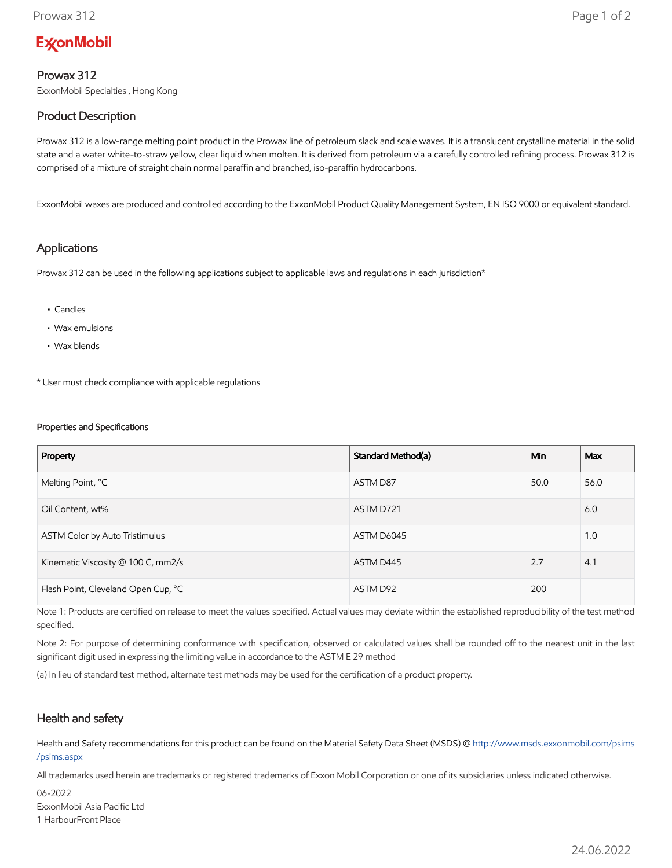# **ExconMobil**

## Prowax 312

ExxonMobil Specialties , Hong Kong

# Product Description

Prowax 312 is a low-range melting point product in the Prowax line of petroleum slack and scale waxes. It is a translucent crystalline material in the solid state and a water white-to-straw yellow, clear liquid when molten. It is derived from petroleum via a carefully controlled refining process. Prowax 312 is comprised of a mixture of straight chain normal paraffin and branched, iso-paraffin hydrocarbons.

ExxonMobil waxes are produced and controlled according to the ExxonMobil Product Quality Management System, EN ISO 9000 or equivalent standard.

#### Applications

Prowax 312 can be used in the following applications subject to applicable laws and regulations in each jurisdiction\*

- Candles
- Wax emulsions
- Wax blends

\* User must check compliance with applicable regulations

#### Properties and Specifications

| Property                            | Standard Method(a) | Min  | <b>Max</b> |
|-------------------------------------|--------------------|------|------------|
| Melting Point, °C                   | ASTM D87           | 50.0 | 56.0       |
| Oil Content, wt%                    | ASTM D721          |      | 6.0        |
| ASTM Color by Auto Tristimulus      | ASTM D6045         |      | 1.0        |
| Kinematic Viscosity @ 100 C, mm2/s  | ASTM D445          | 2.7  | 4.1        |
| Flash Point, Cleveland Open Cup, °C | ASTM D92           | 200  |            |

Note 1: Products are certified on release to meet the values specified. Actual values may deviate within the established reproducibility of the test method specified.

Note 2: For purpose of determining conformance with specification, observed or calculated values shall be rounded off to the nearest unit in the last significant digit used in expressing the limiting value in accordance to the ASTM E 29 method

(a) In lieu of standard test method, alternate test methods may be used for the certification of a product property.

### Health and safety

Health and Safety recommendations for this product can be found on the Material Safety Data Sheet (MSDS) @ [http://www.msds.exxonmobil.com/psims](http://www.msds.exxonmobil.com/psims/psims.aspx) /psims.aspx

All trademarks used herein are trademarks or registered trademarks of Exxon Mobil Corporation or one of its subsidiaries unless indicated otherwise.

06-2022 ExxonMobil Asia Pacific Ltd 1 HarbourFront Place